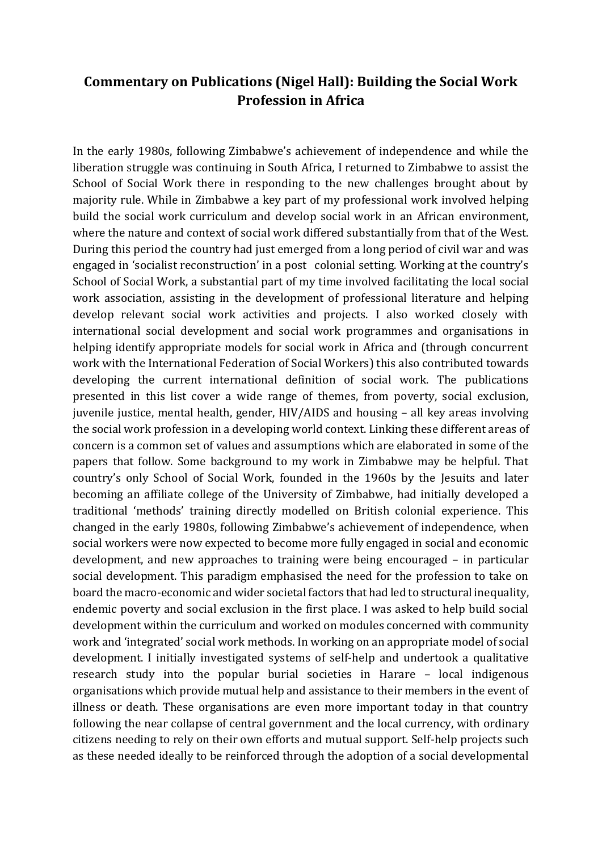## **Commentary on Publications (Nigel Hall): Building the Social Work Profession in Africa**

In the early 1980s, following Zimbabwe's achievement of independence and while the liberation struggle was continuing in South Africa, I returned to Zimbabwe to assist the School of Social Work there in responding to the new challenges brought about by majority rule. While in Zimbabwe a key part of my professional work involved helping build the social work curriculum and develop social work in an African environment, where the nature and context of social work differed substantially from that of the West. During this period the country had just emerged from a long period of civil war and was engaged in 'socialist reconstruction' in a post colonial setting. Working at the country's School of Social Work, a substantial part of my time involved facilitating the local social work association, assisting in the development of professional literature and helping develop relevant social work activities and projects. I also worked closely with international social development and social work programmes and organisations in helping identify appropriate models for social work in Africa and (through concurrent work with the International Federation of Social Workers) this also contributed towards developing the current international definition of social work. The publications presented in this list cover a wide range of themes, from poverty, social exclusion, juvenile justice, mental health, gender, HIV/AIDS and housing – all key areas involving the social work profession in a developing world context. Linking these different areas of concern is a common set of values and assumptions which are elaborated in some of the papers that follow. Some background to my work in Zimbabwe may be helpful. That country's only School of Social Work, founded in the 1960s by the Jesuits and later becoming an affiliate college of the University of Zimbabwe, had initially developed a traditional 'methods' training directly modelled on British colonial experience. This changed in the early 1980s, following Zimbabwe's achievement of independence, when social workers were now expected to become more fully engaged in social and economic development, and new approaches to training were being encouraged – in particular social development. This paradigm emphasised the need for the profession to take on board the macro-economic and wider societal factors that had led to structural inequality, endemic poverty and social exclusion in the first place. I was asked to help build social development within the curriculum and worked on modules concerned with community work and 'integrated' social work methods. In working on an appropriate model of social development. I initially investigated systems of self-help and undertook a qualitative research study into the popular burial societies in Harare – local indigenous organisations which provide mutual help and assistance to their members in the event of illness or death. These organisations are even more important today in that country following the near collapse of central government and the local currency, with ordinary citizens needing to rely on their own efforts and mutual support. Self-help projects such as these needed ideally to be reinforced through the adoption of a social developmental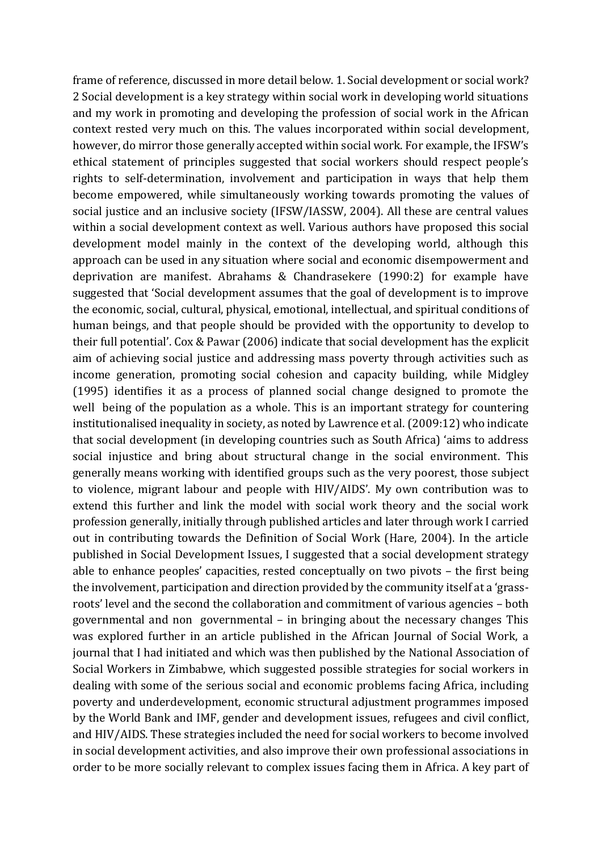frame of reference, discussed in more detail below. 1. Social development or social work? 2 Social development is a key strategy within social work in developing world situations and my work in promoting and developing the profession of social work in the African context rested very much on this. The values incorporated within social development, however, do mirror those generally accepted within social work. For example, the IFSW's ethical statement of principles suggested that social workers should respect people's rights to self-determination, involvement and participation in ways that help them become empowered, while simultaneously working towards promoting the values of social justice and an inclusive society (IFSW/IASSW, 2004). All these are central values within a social development context as well. Various authors have proposed this social development model mainly in the context of the developing world, although this approach can be used in any situation where social and economic disempowerment and deprivation are manifest. Abrahams & Chandrasekere (1990:2) for example have suggested that 'Social development assumes that the goal of development is to improve the economic, social, cultural, physical, emotional, intellectual, and spiritual conditions of human beings, and that people should be provided with the opportunity to develop to their full potential'. Cox & Pawar (2006) indicate that social development has the explicit aim of achieving social justice and addressing mass poverty through activities such as income generation, promoting social cohesion and capacity building, while Midgley (1995) identifies it as a process of planned social change designed to promote the well being of the population as a whole. This is an important strategy for countering institutionalised inequality in society, as noted by Lawrence et al. (2009:12) who indicate that social development (in developing countries such as South Africa) 'aims to address social injustice and bring about structural change in the social environment. This generally means working with identified groups such as the very poorest, those subject to violence, migrant labour and people with HIV/AIDS'. My own contribution was to extend this further and link the model with social work theory and the social work profession generally, initially through published articles and later through work I carried out in contributing towards the Definition of Social Work (Hare, 2004). In the article published in Social Development Issues, I suggested that a social development strategy able to enhance peoples' capacities, rested conceptually on two pivots – the first being the involvement, participation and direction provided by the community itself at a 'grassroots' level and the second the collaboration and commitment of various agencies – both governmental and non governmental – in bringing about the necessary changes This was explored further in an article published in the African Journal of Social Work, a journal that I had initiated and which was then published by the National Association of Social Workers in Zimbabwe, which suggested possible strategies for social workers in dealing with some of the serious social and economic problems facing Africa, including poverty and underdevelopment, economic structural adjustment programmes imposed by the World Bank and IMF, gender and development issues, refugees and civil conflict, and HIV/AIDS. These strategies included the need for social workers to become involved in social development activities, and also improve their own professional associations in order to be more socially relevant to complex issues facing them in Africa. A key part of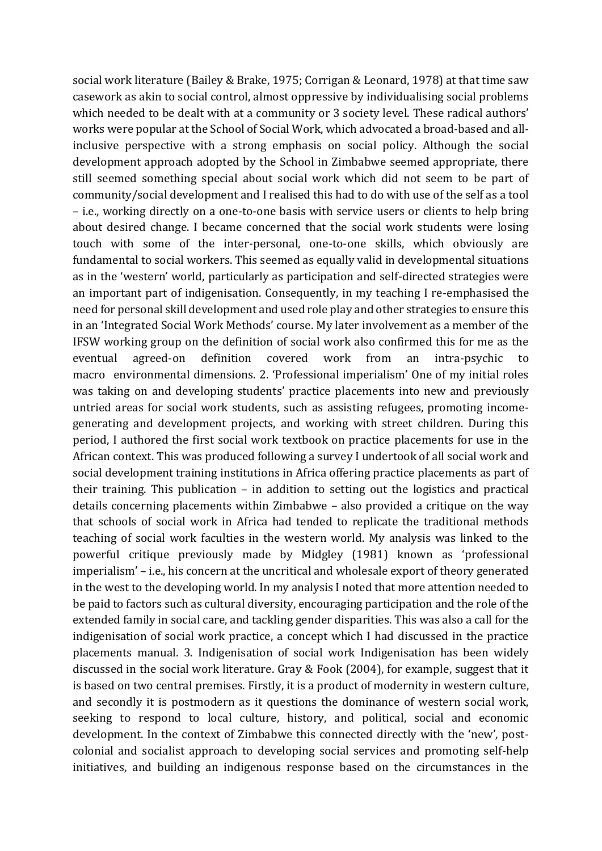social work literature (Bailey & Brake, 1975; Corrigan & Leonard, 1978) at that time saw casework as akin to social control, almost oppressive by individualising social problems which needed to be dealt with at a community or 3 society level. These radical authors' works were popular at the School of Social Work, which advocated a broad-based and allinclusive perspective with a strong emphasis on social policy. Although the social development approach adopted by the School in Zimbabwe seemed appropriate, there still seemed something special about social work which did not seem to be part of community/social development and I realised this had to do with use of the self as a tool – i.e., working directly on a one-to-one basis with service users or clients to help bring about desired change. I became concerned that the social work students were losing touch with some of the inter-personal, one-to-one skills, which obviously are fundamental to social workers. This seemed as equally valid in developmental situations as in the 'western' world, particularly as participation and self-directed strategies were an important part of indigenisation. Consequently, in my teaching I re-emphasised the need for personal skill development and used role play and other strategies to ensure this in an 'Integrated Social Work Methods' course. My later involvement as a member of the IFSW working group on the definition of social work also confirmed this for me as the eventual agreed-on definition covered work from an intra-psychic to macro environmental dimensions. 2. 'Professional imperialism' One of my initial roles was taking on and developing students' practice placements into new and previously untried areas for social work students, such as assisting refugees, promoting incomegenerating and development projects, and working with street children. During this period, I authored the first social work textbook on practice placements for use in the African context. This was produced following a survey I undertook of all social work and social development training institutions in Africa offering practice placements as part of their training. This publication – in addition to setting out the logistics and practical details concerning placements within Zimbabwe – also provided a critique on the way that schools of social work in Africa had tended to replicate the traditional methods teaching of social work faculties in the western world. My analysis was linked to the powerful critique previously made by Midgley (1981) known as 'professional imperialism' – i.e., his concern at the uncritical and wholesale export of theory generated in the west to the developing world. In my analysis I noted that more attention needed to be paid to factors such as cultural diversity, encouraging participation and the role of the extended family in social care, and tackling gender disparities. This was also a call for the indigenisation of social work practice, a concept which I had discussed in the practice placements manual. 3. Indigenisation of social work Indigenisation has been widely discussed in the social work literature. Gray & Fook (2004), for example, suggest that it is based on two central premises. Firstly, it is a product of modernity in western culture, and secondly it is postmodern as it questions the dominance of western social work, seeking to respond to local culture, history, and political, social and economic development. In the context of Zimbabwe this connected directly with the 'new', postcolonial and socialist approach to developing social services and promoting self-help initiatives, and building an indigenous response based on the circumstances in the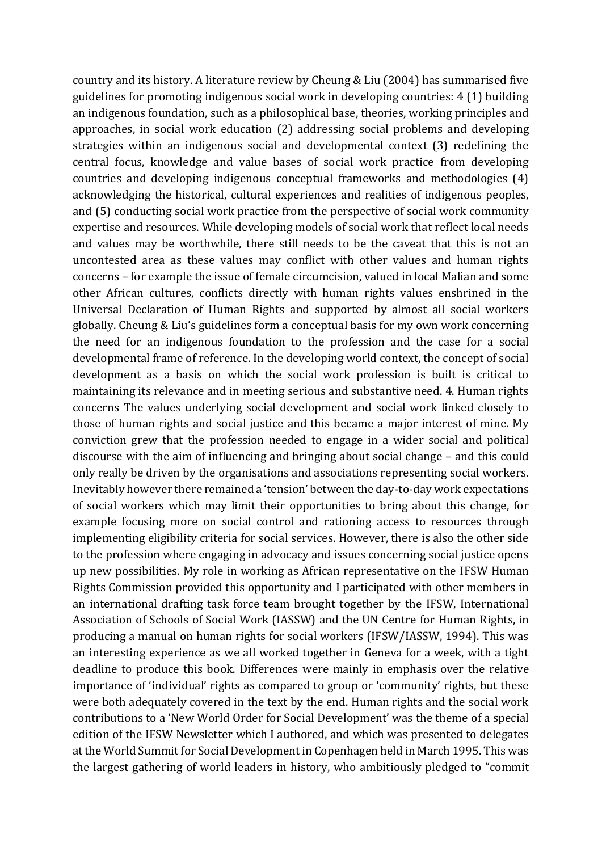country and its history. A literature review by Cheung & Liu (2004) has summarised five guidelines for promoting indigenous social work in developing countries: 4 (1) building an indigenous foundation, such as a philosophical base, theories, working principles and approaches, in social work education (2) addressing social problems and developing strategies within an indigenous social and developmental context (3) redefining the central focus, knowledge and value bases of social work practice from developing countries and developing indigenous conceptual frameworks and methodologies (4) acknowledging the historical, cultural experiences and realities of indigenous peoples, and (5) conducting social work practice from the perspective of social work community expertise and resources. While developing models of social work that reflect local needs and values may be worthwhile, there still needs to be the caveat that this is not an uncontested area as these values may conflict with other values and human rights concerns – for example the issue of female circumcision, valued in local Malian and some other African cultures, conflicts directly with human rights values enshrined in the Universal Declaration of Human Rights and supported by almost all social workers globally. Cheung & Liu's guidelines form a conceptual basis for my own work concerning the need for an indigenous foundation to the profession and the case for a social developmental frame of reference. In the developing world context, the concept of social development as a basis on which the social work profession is built is critical to maintaining its relevance and in meeting serious and substantive need. 4. Human rights concerns The values underlying social development and social work linked closely to those of human rights and social justice and this became a major interest of mine. My conviction grew that the profession needed to engage in a wider social and political discourse with the aim of influencing and bringing about social change – and this could only really be driven by the organisations and associations representing social workers. Inevitably however there remained a 'tension' between the day-to-day work expectations of social workers which may limit their opportunities to bring about this change, for example focusing more on social control and rationing access to resources through implementing eligibility criteria for social services. However, there is also the other side to the profession where engaging in advocacy and issues concerning social justice opens up new possibilities. My role in working as African representative on the IFSW Human Rights Commission provided this opportunity and I participated with other members in an international drafting task force team brought together by the IFSW, International Association of Schools of Social Work (IASSW) and the UN Centre for Human Rights, in producing a manual on human rights for social workers (IFSW/IASSW, 1994). This was an interesting experience as we all worked together in Geneva for a week, with a tight deadline to produce this book. Differences were mainly in emphasis over the relative importance of 'individual' rights as compared to group or 'community' rights, but these were both adequately covered in the text by the end. Human rights and the social work contributions to a 'New World Order for Social Development' was the theme of a special edition of the IFSW Newsletter which I authored, and which was presented to delegates at the World Summit for Social Development in Copenhagen held in March 1995. This was the largest gathering of world leaders in history, who ambitiously pledged to "commit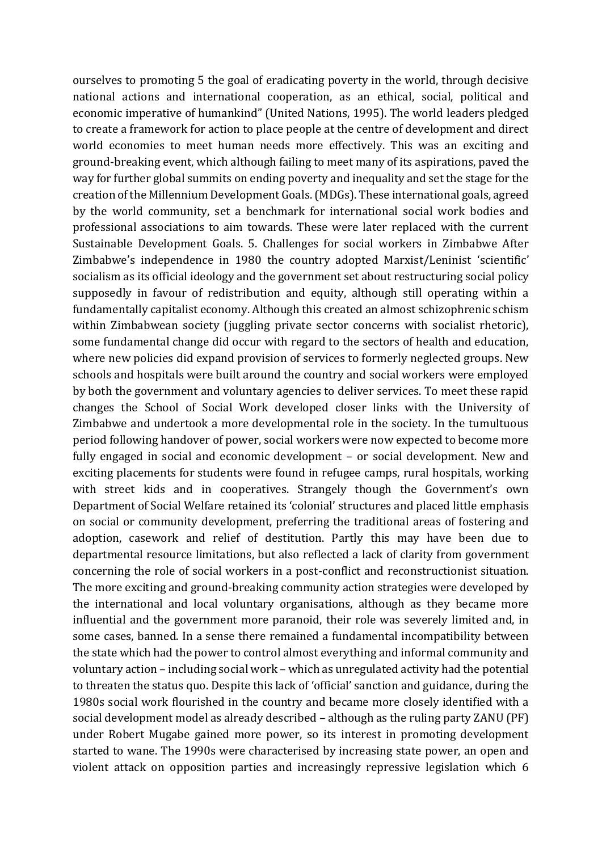ourselves to promoting 5 the goal of eradicating poverty in the world, through decisive national actions and international cooperation, as an ethical, social, political and economic imperative of humankind" (United Nations, 1995). The world leaders pledged to create a framework for action to place people at the centre of development and direct world economies to meet human needs more effectively. This was an exciting and ground-breaking event, which although failing to meet many of its aspirations, paved the way for further global summits on ending poverty and inequality and set the stage for the creation of the Millennium Development Goals. (MDGs). These international goals, agreed by the world community, set a benchmark for international social work bodies and professional associations to aim towards. These were later replaced with the current Sustainable Development Goals. 5. Challenges for social workers in Zimbabwe After Zimbabwe's independence in 1980 the country adopted Marxist/Leninist 'scientific' socialism as its official ideology and the government set about restructuring social policy supposedly in favour of redistribution and equity, although still operating within a fundamentally capitalist economy. Although this created an almost schizophrenic schism within Zimbabwean society (juggling private sector concerns with socialist rhetoric), some fundamental change did occur with regard to the sectors of health and education, where new policies did expand provision of services to formerly neglected groups. New schools and hospitals were built around the country and social workers were employed by both the government and voluntary agencies to deliver services. To meet these rapid changes the School of Social Work developed closer links with the University of Zimbabwe and undertook a more developmental role in the society. In the tumultuous period following handover of power, social workers were now expected to become more fully engaged in social and economic development – or social development. New and exciting placements for students were found in refugee camps, rural hospitals, working with street kids and in cooperatives. Strangely though the Government's own Department of Social Welfare retained its 'colonial' structures and placed little emphasis on social or community development, preferring the traditional areas of fostering and adoption, casework and relief of destitution. Partly this may have been due to departmental resource limitations, but also reflected a lack of clarity from government concerning the role of social workers in a post-conflict and reconstructionist situation. The more exciting and ground-breaking community action strategies were developed by the international and local voluntary organisations, although as they became more influential and the government more paranoid, their role was severely limited and, in some cases, banned. In a sense there remained a fundamental incompatibility between the state which had the power to control almost everything and informal community and voluntary action – including social work – which as unregulated activity had the potential to threaten the status quo. Despite this lack of 'official' sanction and guidance, during the 1980s social work flourished in the country and became more closely identified with a social development model as already described – although as the ruling party ZANU (PF) under Robert Mugabe gained more power, so its interest in promoting development started to wane. The 1990s were characterised by increasing state power, an open and violent attack on opposition parties and increasingly repressive legislation which 6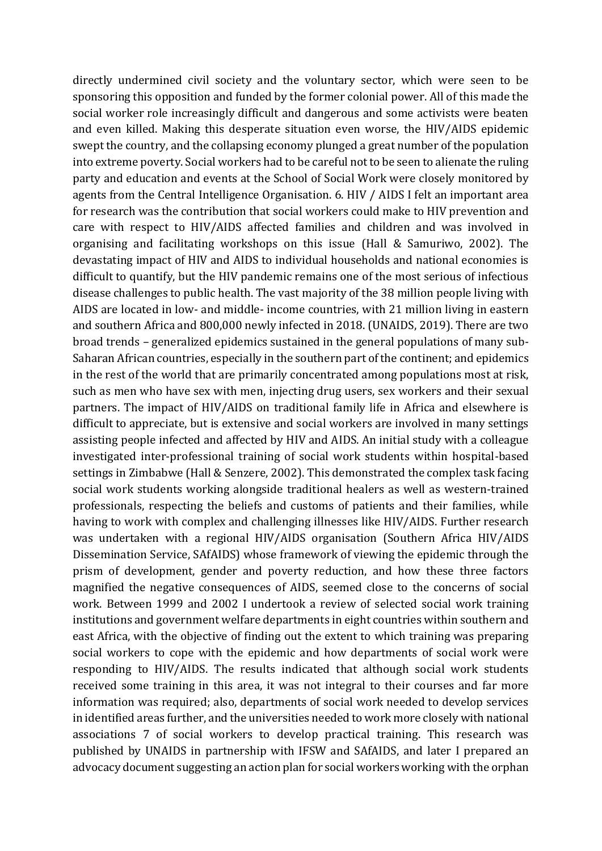directly undermined civil society and the voluntary sector, which were seen to be sponsoring this opposition and funded by the former colonial power. All of this made the social worker role increasingly difficult and dangerous and some activists were beaten and even killed. Making this desperate situation even worse, the HIV/AIDS epidemic swept the country, and the collapsing economy plunged a great number of the population into extreme poverty. Social workers had to be careful not to be seen to alienate the ruling party and education and events at the School of Social Work were closely monitored by agents from the Central Intelligence Organisation. 6. HIV / AIDS I felt an important area for research was the contribution that social workers could make to HIV prevention and care with respect to HIV/AIDS affected families and children and was involved in organising and facilitating workshops on this issue (Hall & Samuriwo, 2002). The devastating impact of HIV and AIDS to individual households and national economies is difficult to quantify, but the HIV pandemic remains one of the most serious of infectious disease challenges to public health. The vast majority of the 38 million people living with AIDS are located in low- and middle- income countries, with 21 million living in eastern and southern Africa and 800,000 newly infected in 2018. (UNAIDS, 2019). There are two broad trends – generalized epidemics sustained in the general populations of many sub-Saharan African countries, especially in the southern part of the continent; and epidemics in the rest of the world that are primarily concentrated among populations most at risk, such as men who have sex with men, injecting drug users, sex workers and their sexual partners. The impact of HIV/AIDS on traditional family life in Africa and elsewhere is difficult to appreciate, but is extensive and social workers are involved in many settings assisting people infected and affected by HIV and AIDS. An initial study with a colleague investigated inter-professional training of social work students within hospital-based settings in Zimbabwe (Hall & Senzere, 2002). This demonstrated the complex task facing social work students working alongside traditional healers as well as western-trained professionals, respecting the beliefs and customs of patients and their families, while having to work with complex and challenging illnesses like HIV/AIDS. Further research was undertaken with a regional HIV/AIDS organisation (Southern Africa HIV/AIDS Dissemination Service, SAfAIDS) whose framework of viewing the epidemic through the prism of development, gender and poverty reduction, and how these three factors magnified the negative consequences of AIDS, seemed close to the concerns of social work. Between 1999 and 2002 I undertook a review of selected social work training institutions and government welfare departments in eight countries within southern and east Africa, with the objective of finding out the extent to which training was preparing social workers to cope with the epidemic and how departments of social work were responding to HIV/AIDS. The results indicated that although social work students received some training in this area, it was not integral to their courses and far more information was required; also, departments of social work needed to develop services in identified areas further, and the universities needed to work more closely with national associations 7 of social workers to develop practical training. This research was published by UNAIDS in partnership with IFSW and SAfAIDS, and later I prepared an advocacy document suggesting an action plan for social workers working with the orphan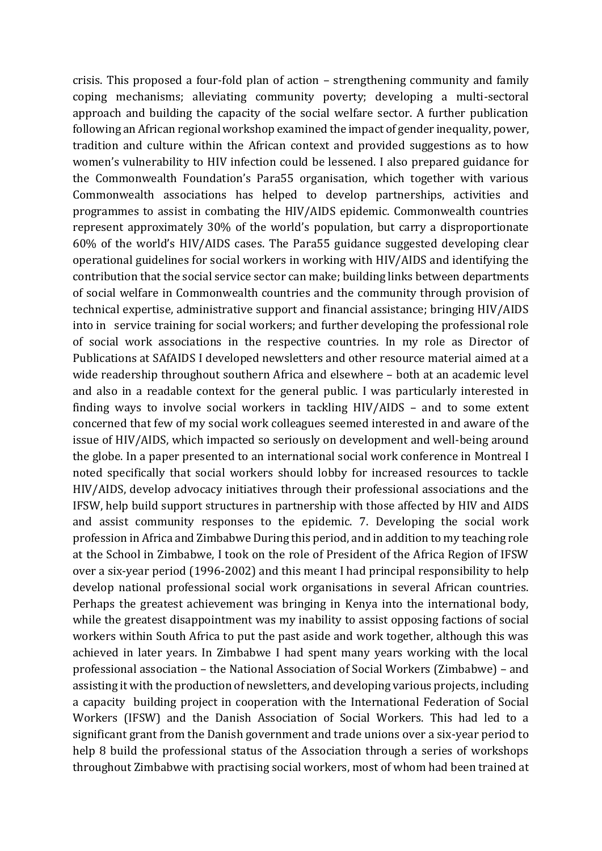crisis. This proposed a four-fold plan of action – strengthening community and family coping mechanisms; alleviating community poverty; developing a multi-sectoral approach and building the capacity of the social welfare sector. A further publication following an African regional workshop examined the impact of gender inequality, power, tradition and culture within the African context and provided suggestions as to how women's vulnerability to HIV infection could be lessened. I also prepared guidance for the Commonwealth Foundation's Para55 organisation, which together with various Commonwealth associations has helped to develop partnerships, activities and programmes to assist in combating the HIV/AIDS epidemic. Commonwealth countries represent approximately 30% of the world's population, but carry a disproportionate 60% of the world's HIV/AIDS cases. The Para55 guidance suggested developing clear operational guidelines for social workers in working with HIV/AIDS and identifying the contribution that the social service sector can make; building links between departments of social welfare in Commonwealth countries and the community through provision of technical expertise, administrative support and financial assistance; bringing HIV/AIDS into in service training for social workers; and further developing the professional role of social work associations in the respective countries. In my role as Director of Publications at SAfAIDS I developed newsletters and other resource material aimed at a wide readership throughout southern Africa and elsewhere – both at an academic level and also in a readable context for the general public. I was particularly interested in finding ways to involve social workers in tackling HIV/AIDS – and to some extent concerned that few of my social work colleagues seemed interested in and aware of the issue of HIV/AIDS, which impacted so seriously on development and well-being around the globe. In a paper presented to an international social work conference in Montreal I noted specifically that social workers should lobby for increased resources to tackle HIV/AIDS, develop advocacy initiatives through their professional associations and the IFSW, help build support structures in partnership with those affected by HIV and AIDS and assist community responses to the epidemic. 7. Developing the social work profession in Africa and Zimbabwe During this period, and in addition to my teaching role at the School in Zimbabwe, I took on the role of President of the Africa Region of IFSW over a six-year period (1996-2002) and this meant I had principal responsibility to help develop national professional social work organisations in several African countries. Perhaps the greatest achievement was bringing in Kenya into the international body, while the greatest disappointment was my inability to assist opposing factions of social workers within South Africa to put the past aside and work together, although this was achieved in later years. In Zimbabwe I had spent many years working with the local professional association – the National Association of Social Workers (Zimbabwe) – and assisting it with the production of newsletters, and developing various projects, including a capacity building project in cooperation with the International Federation of Social Workers (IFSW) and the Danish Association of Social Workers. This had led to a significant grant from the Danish government and trade unions over a six-year period to help 8 build the professional status of the Association through a series of workshops throughout Zimbabwe with practising social workers, most of whom had been trained at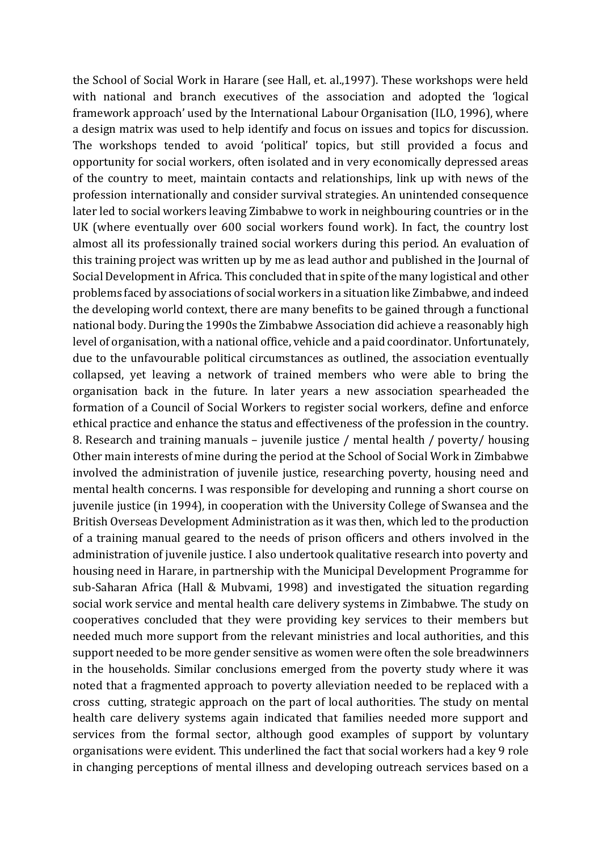the School of Social Work in Harare (see Hall, et. al.,1997). These workshops were held with national and branch executives of the association and adopted the 'logical framework approach' used by the International Labour Organisation (ILO, 1996), where a design matrix was used to help identify and focus on issues and topics for discussion. The workshops tended to avoid 'political' topics, but still provided a focus and opportunity for social workers, often isolated and in very economically depressed areas of the country to meet, maintain contacts and relationships, link up with news of the profession internationally and consider survival strategies. An unintended consequence later led to social workers leaving Zimbabwe to work in neighbouring countries or in the UK (where eventually over 600 social workers found work). In fact, the country lost almost all its professionally trained social workers during this period. An evaluation of this training project was written up by me as lead author and published in the Journal of Social Development in Africa. This concluded that in spite of the many logistical and other problems faced by associations of social workers in a situation like Zimbabwe, and indeed the developing world context, there are many benefits to be gained through a functional national body. During the 1990s the Zimbabwe Association did achieve a reasonably high level of organisation, with a national office, vehicle and a paid coordinator. Unfortunately, due to the unfavourable political circumstances as outlined, the association eventually collapsed, yet leaving a network of trained members who were able to bring the organisation back in the future. In later years a new association spearheaded the formation of a Council of Social Workers to register social workers, define and enforce ethical practice and enhance the status and effectiveness of the profession in the country. 8. Research and training manuals – juvenile justice / mental health / poverty/ housing Other main interests of mine during the period at the School of Social Work in Zimbabwe involved the administration of juvenile justice, researching poverty, housing need and mental health concerns. I was responsible for developing and running a short course on juvenile justice (in 1994), in cooperation with the University College of Swansea and the British Overseas Development Administration as it was then, which led to the production of a training manual geared to the needs of prison officers and others involved in the administration of juvenile justice. I also undertook qualitative research into poverty and housing need in Harare, in partnership with the Municipal Development Programme for sub-Saharan Africa (Hall & Mubvami, 1998) and investigated the situation regarding social work service and mental health care delivery systems in Zimbabwe. The study on cooperatives concluded that they were providing key services to their members but needed much more support from the relevant ministries and local authorities, and this support needed to be more gender sensitive as women were often the sole breadwinners in the households. Similar conclusions emerged from the poverty study where it was noted that a fragmented approach to poverty alleviation needed to be replaced with a cross cutting, strategic approach on the part of local authorities. The study on mental health care delivery systems again indicated that families needed more support and services from the formal sector, although good examples of support by voluntary organisations were evident. This underlined the fact that social workers had a key 9 role in changing perceptions of mental illness and developing outreach services based on a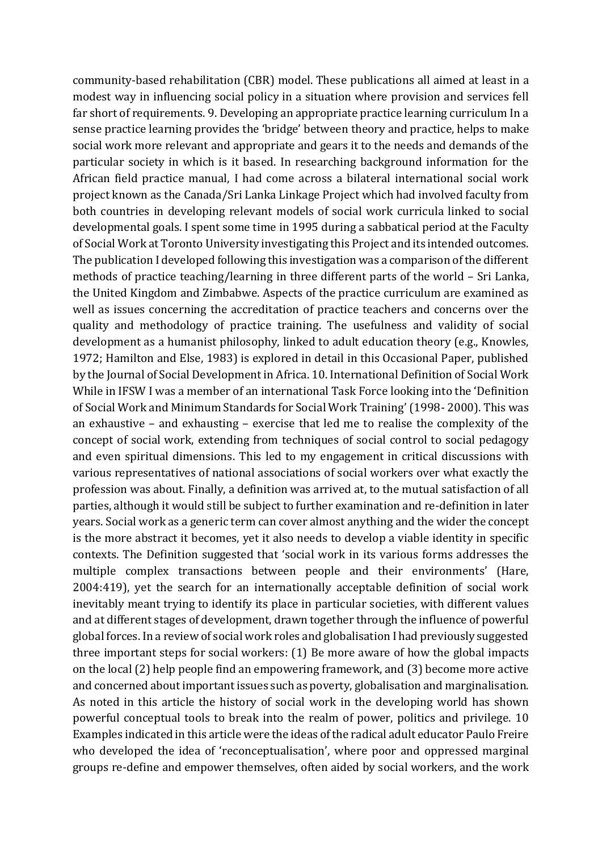community-based rehabilitation (CBR) model. These publications all aimed at least in a modest way in influencing social policy in a situation where provision and services fell far short of requirements. 9. Developing an appropriate practice learning curriculum In a sense practice learning provides the 'bridge' between theory and practice, helps to make social work more relevant and appropriate and gears it to the needs and demands of the particular society in which is it based. In researching background information for the African field practice manual, I had come across a bilateral international social work project known as the Canada/Sri Lanka Linkage Project which had involved faculty from both countries in developing relevant models of social work curricula linked to social developmental goals. I spent some time in 1995 during a sabbatical period at the Faculty of Social Work at Toronto University investigating this Project and its intended outcomes. The publication I developed following this investigation was a comparison of the different methods of practice teaching/learning in three different parts of the world – Sri Lanka, the United Kingdom and Zimbabwe. Aspects of the practice curriculum are examined as well as issues concerning the accreditation of practice teachers and concerns over the quality and methodology of practice training. The usefulness and validity of social development as a humanist philosophy, linked to adult education theory (e.g., Knowles, 1972; Hamilton and Else, 1983) is explored in detail in this Occasional Paper, published by the Journal of Social Development in Africa. 10. International Definition of Social Work While in IFSW I was a member of an international Task Force looking into the 'Definition of Social Work and Minimum Standards for Social Work Training' (1998- 2000). This was an exhaustive – and exhausting – exercise that led me to realise the complexity of the concept of social work, extending from techniques of social control to social pedagogy and even spiritual dimensions. This led to my engagement in critical discussions with various representatives of national associations of social workers over what exactly the profession was about. Finally, a definition was arrived at, to the mutual satisfaction of all parties, although it would still be subject to further examination and re-definition in later years. Social work as a generic term can cover almost anything and the wider the concept is the more abstract it becomes, yet it also needs to develop a viable identity in specific contexts. The Definition suggested that 'social work in its various forms addresses the multiple complex transactions between people and their environments' (Hare, 2004:419), yet the search for an internationally acceptable definition of social work inevitably meant trying to identify its place in particular societies, with different values and at different stages of development, drawn together through the influence of powerful global forces. In a review of social work roles and globalisation I had previously suggested three important steps for social workers: (1) Be more aware of how the global impacts on the local (2) help people find an empowering framework, and (3) become more active and concerned about important issues such as poverty, globalisation and marginalisation. As noted in this article the history of social work in the developing world has shown powerful conceptual tools to break into the realm of power, politics and privilege. 10 Examples indicated in this article were the ideas of the radical adult educator Paulo Freire who developed the idea of 'reconceptualisation', where poor and oppressed marginal groups re-define and empower themselves, often aided by social workers, and the work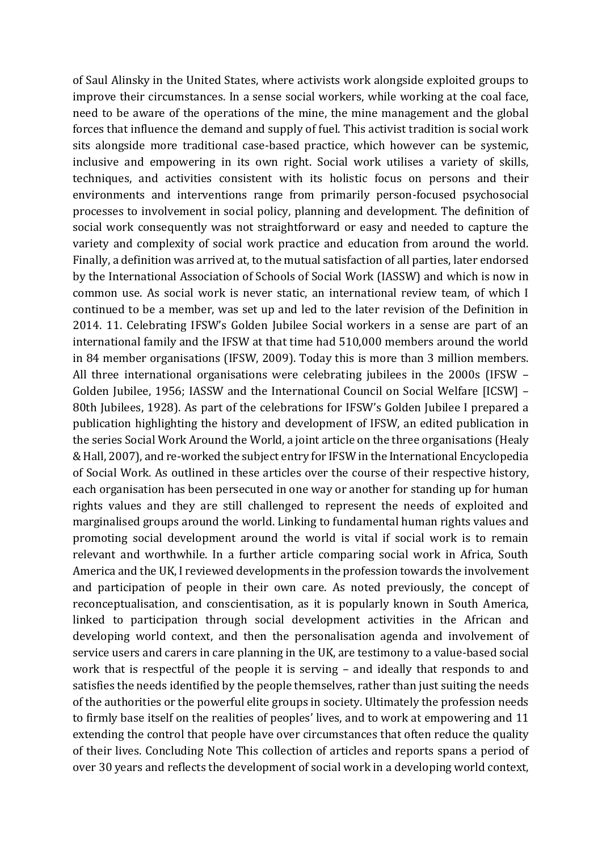of Saul Alinsky in the United States, where activists work alongside exploited groups to improve their circumstances. In a sense social workers, while working at the coal face, need to be aware of the operations of the mine, the mine management and the global forces that influence the demand and supply of fuel. This activist tradition is social work sits alongside more traditional case-based practice, which however can be systemic, inclusive and empowering in its own right. Social work utilises a variety of skills, techniques, and activities consistent with its holistic focus on persons and their environments and interventions range from primarily person-focused psychosocial processes to involvement in social policy, planning and development. The definition of social work consequently was not straightforward or easy and needed to capture the variety and complexity of social work practice and education from around the world. Finally, a definition was arrived at, to the mutual satisfaction of all parties, later endorsed by the International Association of Schools of Social Work (IASSW) and which is now in common use. As social work is never static, an international review team, of which I continued to be a member, was set up and led to the later revision of the Definition in 2014. 11. Celebrating IFSW's Golden Jubilee Social workers in a sense are part of an international family and the IFSW at that time had 510,000 members around the world in 84 member organisations (IFSW, 2009). Today this is more than 3 million members. All three international organisations were celebrating jubilees in the 2000s (IFSW – Golden Jubilee, 1956; IASSW and the International Council on Social Welfare [ICSW] – 80th Jubilees, 1928). As part of the celebrations for IFSW's Golden Jubilee I prepared a publication highlighting the history and development of IFSW, an edited publication in the series Social Work Around the World, a joint article on the three organisations (Healy & Hall, 2007), and re-worked the subject entry for IFSW in the International Encyclopedia of Social Work. As outlined in these articles over the course of their respective history, each organisation has been persecuted in one way or another for standing up for human rights values and they are still challenged to represent the needs of exploited and marginalised groups around the world. Linking to fundamental human rights values and promoting social development around the world is vital if social work is to remain relevant and worthwhile. In a further article comparing social work in Africa, South America and the UK, I reviewed developments in the profession towards the involvement and participation of people in their own care. As noted previously, the concept of reconceptualisation, and conscientisation, as it is popularly known in South America, linked to participation through social development activities in the African and developing world context, and then the personalisation agenda and involvement of service users and carers in care planning in the UK, are testimony to a value-based social work that is respectful of the people it is serving – and ideally that responds to and satisfies the needs identified by the people themselves, rather than just suiting the needs of the authorities or the powerful elite groups in society. Ultimately the profession needs to firmly base itself on the realities of peoples' lives, and to work at empowering and 11 extending the control that people have over circumstances that often reduce the quality of their lives. Concluding Note This collection of articles and reports spans a period of over 30 years and reflects the development of social work in a developing world context,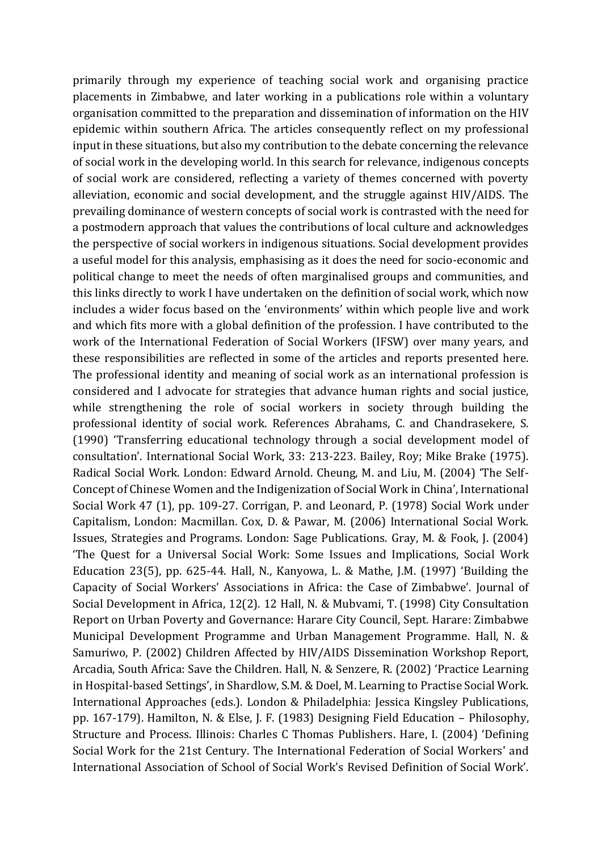primarily through my experience of teaching social work and organising practice placements in Zimbabwe, and later working in a publications role within a voluntary organisation committed to the preparation and dissemination of information on the HIV epidemic within southern Africa. The articles consequently reflect on my professional input in these situations, but also my contribution to the debate concerning the relevance of social work in the developing world. In this search for relevance, indigenous concepts of social work are considered, reflecting a variety of themes concerned with poverty alleviation, economic and social development, and the struggle against HIV/AIDS. The prevailing dominance of western concepts of social work is contrasted with the need for a postmodern approach that values the contributions of local culture and acknowledges the perspective of social workers in indigenous situations. Social development provides a useful model for this analysis, emphasising as it does the need for socio-economic and political change to meet the needs of often marginalised groups and communities, and this links directly to work I have undertaken on the definition of social work, which now includes a wider focus based on the 'environments' within which people live and work and which fits more with a global definition of the profession. I have contributed to the work of the International Federation of Social Workers (IFSW) over many years, and these responsibilities are reflected in some of the articles and reports presented here. The professional identity and meaning of social work as an international profession is considered and I advocate for strategies that advance human rights and social justice, while strengthening the role of social workers in society through building the professional identity of social work. References Abrahams, C. and Chandrasekere, S. (1990) 'Transferring educational technology through a social development model of consultation'. International Social Work, 33: 213-223. Bailey, Roy; Mike Brake (1975). Radical Social Work. London: Edward Arnold. Cheung, M. and Liu, M. (2004) 'The Self-Concept of Chinese Women and the Indigenization of Social Work in China', International Social Work 47 (1), pp. 109-27. Corrigan, P. and Leonard, P. (1978) Social Work under Capitalism, London: Macmillan. Cox, D. & Pawar, M. (2006) International Social Work. Issues, Strategies and Programs. London: Sage Publications. Gray, M. & Fook, J. (2004) 'The Quest for a Universal Social Work: Some Issues and Implications, Social Work Education 23(5), pp. 625-44. Hall, N., Kanyowa, L. & Mathe, J.M. (1997) 'Building the Capacity of Social Workers' Associations in Africa: the Case of Zimbabwe'. Journal of Social Development in Africa, 12(2). 12 Hall, N. & Mubvami, T. (1998) City Consultation Report on Urban Poverty and Governance: Harare City Council, Sept. Harare: Zimbabwe Municipal Development Programme and Urban Management Programme. Hall, N. & Samuriwo, P. (2002) Children Affected by HIV/AIDS Dissemination Workshop Report, Arcadia, South Africa: Save the Children. Hall, N. & Senzere, R. (2002) 'Practice Learning in Hospital-based Settings', in Shardlow, S.M. & Doel, M. Learning to Practise Social Work. International Approaches (eds.). London & Philadelphia: Jessica Kingsley Publications, pp. 167-179). Hamilton, N. & Else, J. F. (1983) Designing Field Education – Philosophy, Structure and Process. Illinois: Charles C Thomas Publishers. Hare, I. (2004) 'Defining Social Work for the 21st Century. The International Federation of Social Workers' and International Association of School of Social Work's Revised Definition of Social Work'.